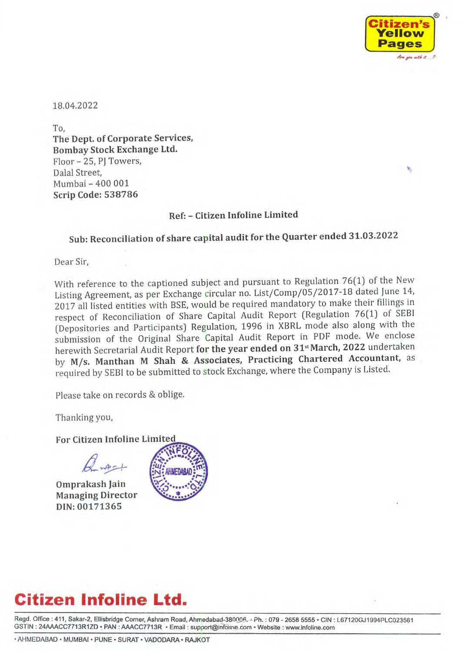

18.04.2022

To, The Dept. of Corporate Services, Bombay Stock Exchange Ltd. Floor -25, P] Towers, Dalal Street, Mumbai 400 001 Scrip Code: 538786

#### Ref: - Citizen Infoline Limited

# Sub: Reconciliation of share capital audit for the Quarter ended 31.03.2022

Dear Sir,

With reference to the captioned subject and pursuant to Regulation 76(1) of the New Listing Agreement, as per Exchange circular no. List/Comp/05/2017-18 dated June 14, <sup>2017</sup> all listed entities with BSE, would be required mandatory to make their fillings in respect of Reconciliation of Share Capital Audit Report (Regulation 76(1) of SEBI (Depositories and Participants) Regulation, <sup>1996</sup> in XBRL mode also along with the submission of the Original Share Capital Audit Report in PDF mode. We enclose herewith Secretarial Audit Report for the year ended on 31<sup>st</sup> March, 2022 undertaken by M/s. Manthan M Shah & Associates, Practicing Chartered Accountant, as required by SEBI to be submitted to stock Exchange, where the Company is Listed.

Please take on records & oblige.

Thanking you,

For Citizen Infoline Limited

Omprakash Jain Managing Director DIN: 00171365



# Citizen Infoline Ltd.

GSTIN: 24AAACC7713R1ZD · PAN: AAACC7713R · Email : support@infoline.com · Website : www.infoline.com Regd. Office: 411, Sakar-2, Ellisbridge Corner, Ashram Road, Ahmedabad-380006. - Ph.: 079 - 2658 5555 · CIN: L67120GJ1994PLC023561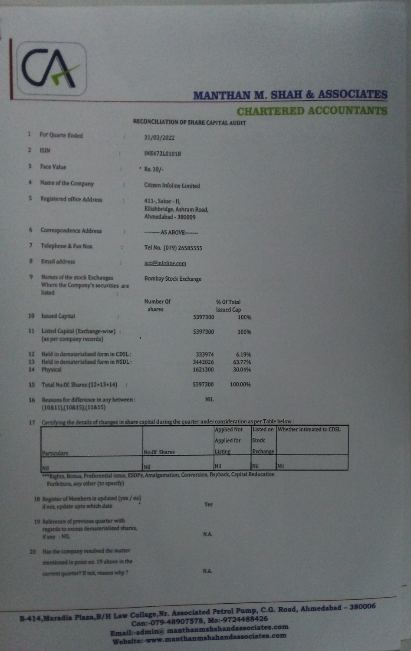

#### **MANTHAN M. SHAH & ASSOCIATES**

### **CHARTERED ACCOUNTANTS**

|    |                                                                              | RECONCILIATION OF SHARE CAPITAL AUDIT                                |  |  |
|----|------------------------------------------------------------------------------|----------------------------------------------------------------------|--|--|
| ı  | For Quarte Ended                                                             | 31/03/2022                                                           |  |  |
| 2  | <b>ISIN</b>                                                                  | INE473L01018                                                         |  |  |
| 3  | <b>Face Value</b><br>t                                                       | $Rs$ 10/-                                                            |  |  |
| 赤  | Name of the Company<br>t                                                     | <b>Citizen Infoline Limited</b>                                      |  |  |
| 5  | <b>Registered office Address</b><br>s                                        | 411-, Sakar - IL<br>Ellishbridge, Ashram Road,<br>Ahmedabad - 380009 |  |  |
| 6  | <b>Correspondence Address</b><br>z,                                          | -- AS ABOVE-                                                         |  |  |
| 7  | Telephone & Fax Nos.<br>t)                                                   | Tel No. (079) 26585555                                               |  |  |
| 8  | <b>Email address</b><br>t                                                    | acc@infoline.com                                                     |  |  |
| 9  | Names of the stock Exchanges<br>Where the Company's securities are<br>listed | <b>Bombay Stock Exchange</b>                                         |  |  |
|    |                                                                              | Number Of<br>% Of Total                                              |  |  |
| 10 | <b>Issued Capital</b><br>Ŧ.                                                  | shares<br><b>Issued Cap</b><br>5397300<br>100%                       |  |  |
| 11 | <b>Listed Capital (Exchange-wise) :</b><br>(as per company records)          | 5397300<br>100%                                                      |  |  |
| 12 | Held in dematerialised form in CDSL:                                         | 333974<br>6.19%                                                      |  |  |
| 13 | Held in dematerialised form in NSDL:                                         | 3442026<br>63.77%                                                    |  |  |
| 14 | <b>Physical</b>                                                              | 1621300<br>30.04%                                                    |  |  |
| 15 | Total No.Of. Shares (12+13+14)<br>÷.                                         | 5397300<br>100.00%                                                   |  |  |
| 16 | Reasons for difference in any between:<br>$(10811)$ $(10815)$ $(11815)$      | <b>NIL</b>                                                           |  |  |

Certifying the details of changes in share capital during the quarter under consideration as per Table below :  $17$ 

|                    |                     |                                   | Nil             | Nil                                 |
|--------------------|---------------------|-----------------------------------|-----------------|-------------------------------------|
| <b>Particulars</b> | <b>No.Of Shares</b> | Listing                           | <b>Exchange</b> |                                     |
|                    |                     | <b>Applied Not</b><br>Applied for | <b>Stock</b>    | Listed on Whether intimated to CDSL |

\*Rights, Bonus, Preferential issue, ESOPs, Amalgamation, Conversion, Buyback, Capital Reducation Forfeiture, any other (to specify)

| 18 Register of Members is updated (yes / no)<br>if not, update upto which date                | Yes       |
|-----------------------------------------------------------------------------------------------|-----------|
| 19 Reference of previous quarter with<br>regards to excess dematerialised shares,<br>Wany NIL | <b>NA</b> |
| Has the company resolved the matter                                                           |           |
| mentioned in point no. 19 above in the                                                        |           |
| current quarter? If not, reason why ?                                                         | <b>NA</b> |

B-414, Maradia Plaza, B/H Law Collage, Nr. Associated Petrol Pump, C.G. Road, Ahmedabad - 380006

I Law Collage, Nr. Associated Petrol Pump, C.G. Ros<br>Con:-079-48907578, Mo:-9724488426<br>Email:-admin@manthanmshahandassociates.com Email:-admin@manthanmshahandassociates.com<br>Website:-www.manthanmshahandassociates.com